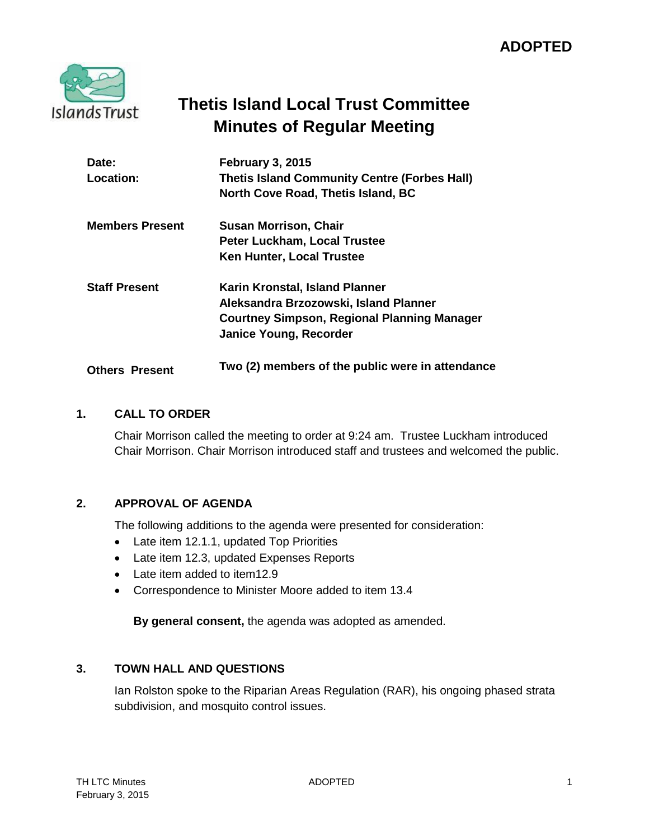# **ADOPTED**



# **Thetis Island Local Trust Committee Minutes of Regular Meeting**

| Date:<br>Location:     | February 3, 2015<br><b>Thetis Island Community Centre (Forbes Hall)</b><br>North Cove Road, Thetis Island, BC                                                  |
|------------------------|----------------------------------------------------------------------------------------------------------------------------------------------------------------|
| <b>Members Present</b> | <b>Susan Morrison, Chair</b>                                                                                                                                   |
|                        | <b>Peter Luckham, Local Trustee</b><br><b>Ken Hunter, Local Trustee</b>                                                                                        |
| <b>Staff Present</b>   | Karin Kronstal, Island Planner<br>Aleksandra Brzozowski, Island Planner<br><b>Courtney Simpson, Regional Planning Manager</b><br><b>Janice Young, Recorder</b> |
| <b>Others Present</b>  | Two (2) members of the public were in attendance                                                                                                               |

## **1. CALL TO ORDER**

Chair Morrison called the meeting to order at 9:24 am. Trustee Luckham introduced Chair Morrison. Chair Morrison introduced staff and trustees and welcomed the public.

## **2. APPROVAL OF AGENDA**

The following additions to the agenda were presented for consideration:

- Late item 12.1.1, updated Top Priorities
- Late item 12.3, updated Expenses Reports
- Late item added to item12.9
- Correspondence to Minister Moore added to item 13.4

**By general consent,** the agenda was adopted as amended.

## **3. TOWN HALL AND QUESTIONS**

Ian Rolston spoke to the Riparian Areas Regulation (RAR), his ongoing phased strata subdivision, and mosquito control issues.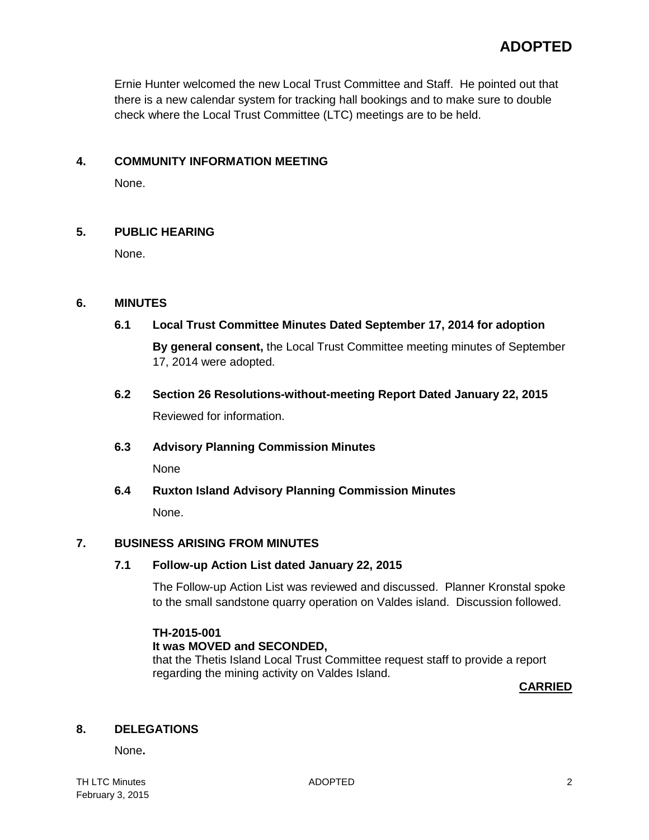Ernie Hunter welcomed the new Local Trust Committee and Staff. He pointed out that there is a new calendar system for tracking hall bookings and to make sure to double check where the Local Trust Committee (LTC) meetings are to be held.

## **4. COMMUNITY INFORMATION MEETING**

None.

## **5. PUBLIC HEARING**

None.

## **6. MINUTES**

**6.1 Local Trust Committee Minutes Dated September 17, 2014 for adoption**

**By general consent,** the Local Trust Committee meeting minutes of September 17, 2014 were adopted.

**6.2 Section 26 Resolutions-without-meeting Report Dated January 22, 2015** Reviewed for information.

#### **6.3 Advisory Planning Commission Minutes**

None

**6.4 Ruxton Island Advisory Planning Commission Minutes** 

None.

## **7. BUSINESS ARISING FROM MINUTES**

#### **7.1 Follow-up Action List dated January 22, 2015**

The Follow-up Action List was reviewed and discussed. Planner Kronstal spoke to the small sandstone quarry operation on Valdes island. Discussion followed.

## **TH-2015-001**

#### **It was MOVED and SECONDED,**

that the Thetis Island Local Trust Committee request staff to provide a report regarding the mining activity on Valdes Island.

**CARRIED**

## **8. DELEGATIONS**

None**.**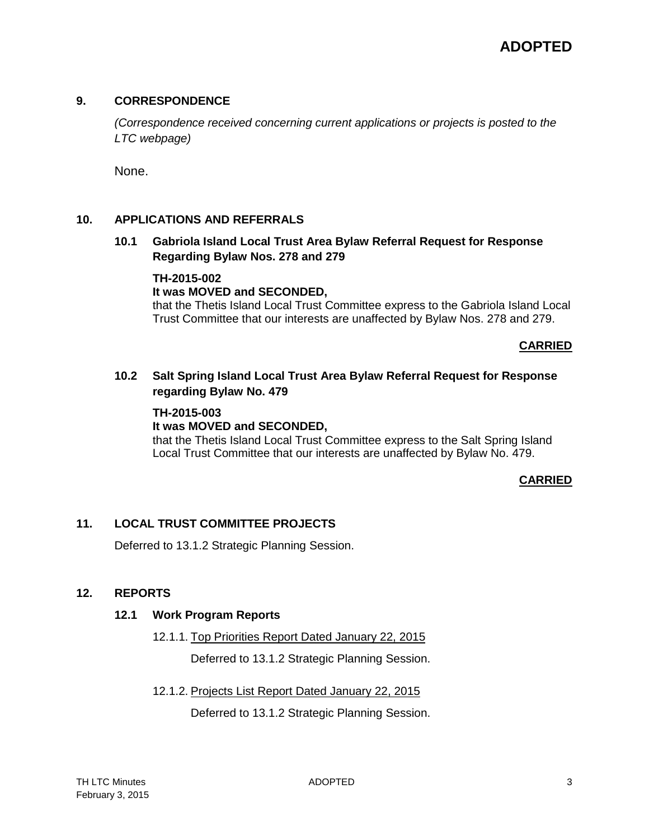#### **9. CORRESPONDENCE**

*(Correspondence received concerning current applications or projects is posted to the LTC webpage)*

None.

#### **10. APPLICATIONS AND REFERRALS**

**10.1 Gabriola Island Local Trust Area Bylaw Referral Request for Response Regarding Bylaw Nos. 278 and 279**

## **TH-2015-002**

#### **It was MOVED and SECONDED,**

that the Thetis Island Local Trust Committee express to the Gabriola Island Local Trust Committee that our interests are unaffected by Bylaw Nos. 278 and 279.

#### **CARRIED**

**10.2 Salt Spring Island Local Trust Area Bylaw Referral Request for Response regarding Bylaw No. 479**

#### **TH-2015-003**

#### **It was MOVED and SECONDED,**

that the Thetis Island Local Trust Committee express to the Salt Spring Island Local Trust Committee that our interests are unaffected by Bylaw No. 479.

#### **CARRIED**

## **11. LOCAL TRUST COMMITTEE PROJECTS**

Deferred to 13.1.2 Strategic Planning Session.

## **12. REPORTS**

#### **12.1 Work Program Reports**

12.1.1. Top Priorities Report Dated January 22, 2015

Deferred to 13.1.2 Strategic Planning Session.

12.1.2. Projects List Report Dated January 22, 2015

Deferred to 13.1.2 Strategic Planning Session.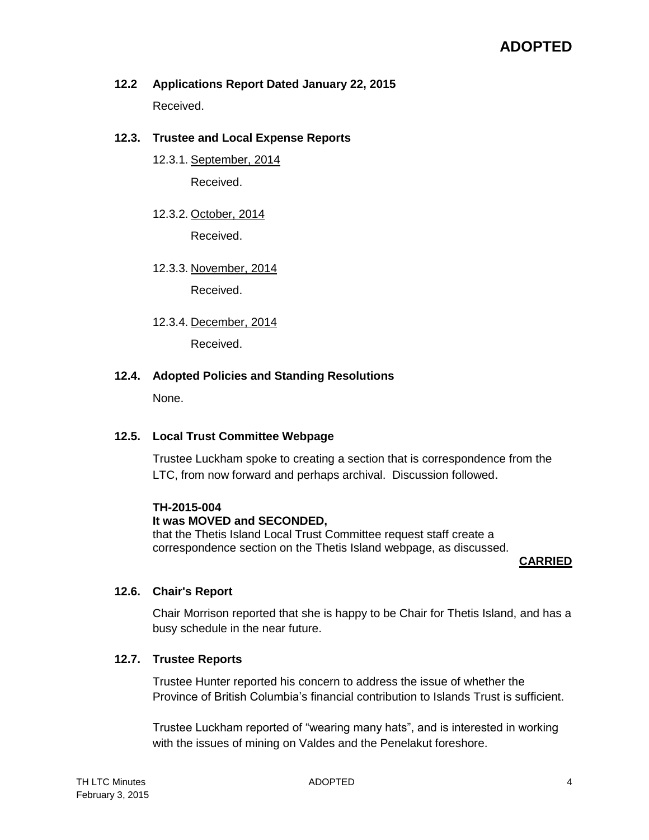**12.2 Applications Report Dated January 22, 2015** Received.

## **12.3. Trustee and Local Expense Reports**

- 12.3.1. September, 2014 Received.
- 12.3.2. October, 2014 Received.
- 12.3.3. November, 2014

Received.

12.3.4. December, 2014

Received.

#### **12.4. Adopted Policies and Standing Resolutions**

None.

#### **12.5. Local Trust Committee Webpage**

Trustee Luckham spoke to creating a section that is correspondence from the LTC, from now forward and perhaps archival. Discussion followed.

#### **TH-2015-004**

#### **It was MOVED and SECONDED,**

that the Thetis Island Local Trust Committee request staff create a correspondence section on the Thetis Island webpage, as discussed.

#### **CARRIED**

#### **12.6. Chair's Report**

Chair Morrison reported that she is happy to be Chair for Thetis Island, and has a busy schedule in the near future.

#### **12.7. Trustee Reports**

Trustee Hunter reported his concern to address the issue of whether the Province of British Columbia's financial contribution to Islands Trust is sufficient.

Trustee Luckham reported of "wearing many hats", and is interested in working with the issues of mining on Valdes and the Penelakut foreshore.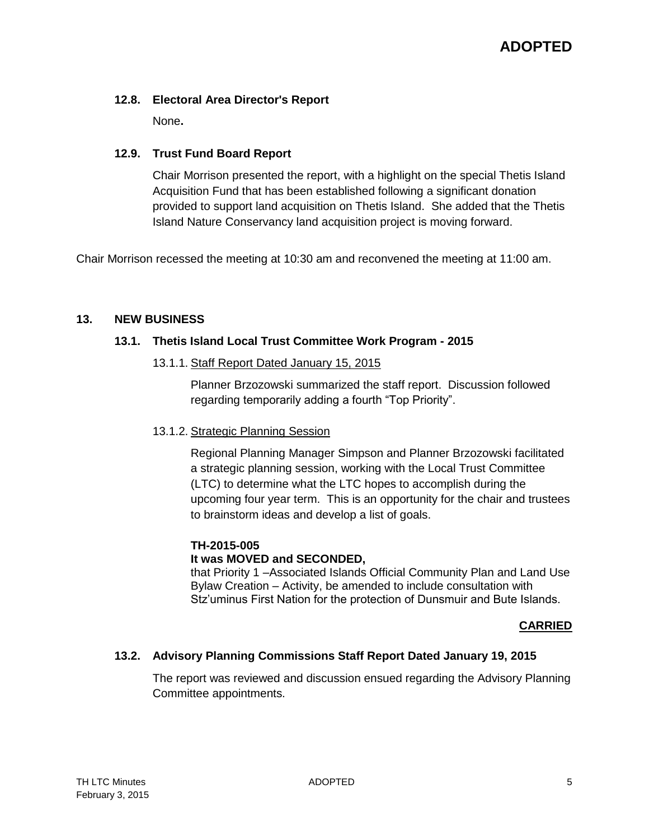## **12.8. Electoral Area Director's Report**

None**.**

## **12.9. Trust Fund Board Report**

Chair Morrison presented the report, with a highlight on the special Thetis Island Acquisition Fund that has been established following a significant donation provided to support land acquisition on Thetis Island. She added that the Thetis Island Nature Conservancy land acquisition project is moving forward.

Chair Morrison recessed the meeting at 10:30 am and reconvened the meeting at 11:00 am.

## **13. NEW BUSINESS**

## **13.1. Thetis Island Local Trust Committee Work Program - 2015**

13.1.1. Staff Report Dated January 15, 2015

Planner Brzozowski summarized the staff report. Discussion followed regarding temporarily adding a fourth "Top Priority".

## 13.1.2. Strategic Planning Session

Regional Planning Manager Simpson and Planner Brzozowski facilitated a strategic planning session, working with the Local Trust Committee (LTC) to determine what the LTC hopes to accomplish during the upcoming four year term. This is an opportunity for the chair and trustees to brainstorm ideas and develop a list of goals.

## **TH-2015-005**

## **It was MOVED and SECONDED,**

that Priority 1 –Associated Islands Official Community Plan and Land Use Bylaw Creation – Activity, be amended to include consultation with Stz'uminus First Nation for the protection of Dunsmuir and Bute Islands.

## **CARRIED**

## **13.2. Advisory Planning Commissions Staff Report Dated January 19, 2015**

The report was reviewed and discussion ensued regarding the Advisory Planning Committee appointments.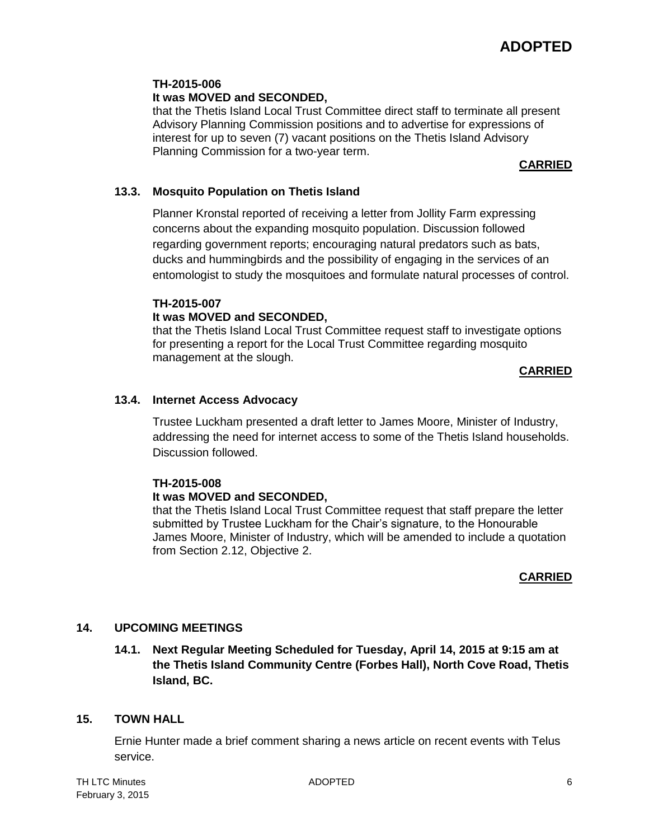#### **TH-2015-006**

## **It was MOVED and SECONDED,**

that the Thetis Island Local Trust Committee direct staff to terminate all present Advisory Planning Commission positions and to advertise for expressions of interest for up to seven (7) vacant positions on the Thetis Island Advisory Planning Commission for a two-year term.

#### **CARRIED**

#### **13.3. Mosquito Population on Thetis Island**

Planner Kronstal reported of receiving a letter from Jollity Farm expressing concerns about the expanding mosquito population. Discussion followed regarding government reports; encouraging natural predators such as bats, ducks and hummingbirds and the possibility of engaging in the services of an entomologist to study the mosquitoes and formulate natural processes of control.

## **TH-2015-007**

## **It was MOVED and SECONDED,**

that the Thetis Island Local Trust Committee request staff to investigate options for presenting a report for the Local Trust Committee regarding mosquito management at the slough.

#### **CARRIED**

#### **13.4. Internet Access Advocacy**

Trustee Luckham presented a draft letter to James Moore, Minister of Industry, addressing the need for internet access to some of the Thetis Island households. Discussion followed.

#### **TH-2015-008**

#### **It was MOVED and SECONDED,**

that the Thetis Island Local Trust Committee request that staff prepare the letter submitted by Trustee Luckham for the Chair's signature, to the Honourable James Moore, Minister of Industry, which will be amended to include a quotation from Section 2.12, Objective 2.

## **CARRIED**

## **14. UPCOMING MEETINGS**

**14.1. Next Regular Meeting Scheduled for Tuesday, April 14, 2015 at 9:15 am at the Thetis Island Community Centre (Forbes Hall), North Cove Road, Thetis Island, BC.**

#### **15. TOWN HALL**

Ernie Hunter made a brief comment sharing a news article on recent events with Telus service.